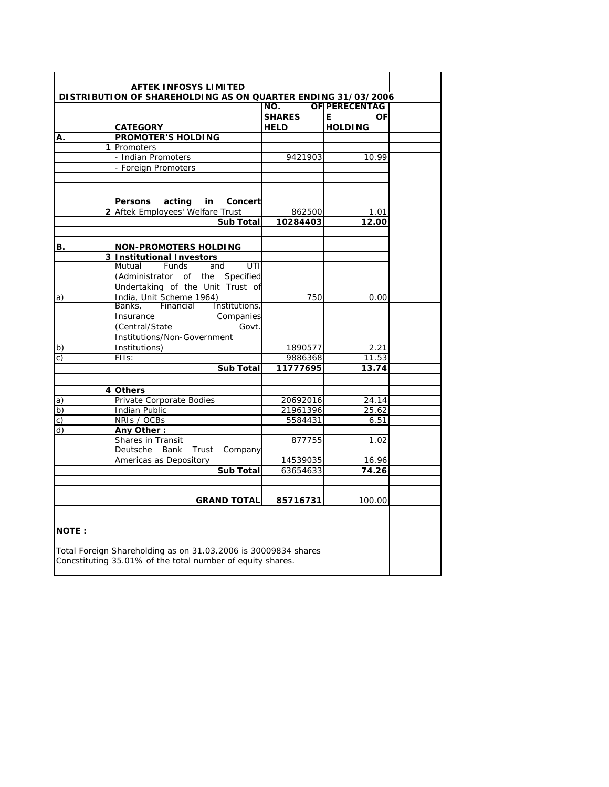| <b>AFTEK INFOSYS LIMITED</b>                                                                |                                                                |               |                |  |  |  |
|---------------------------------------------------------------------------------------------|----------------------------------------------------------------|---------------|----------------|--|--|--|
| DISTRIBUTION OF SHAREHOLDING AS ON QUARTER ENDING 31/03/2006<br><b>OF PERECENTAG</b><br>NO. |                                                                |               |                |  |  |  |
|                                                                                             |                                                                | <b>SHARES</b> | E.<br>ΟF       |  |  |  |
|                                                                                             | <b>CATEGORY</b>                                                | <b>HELD</b>   | <b>HOLDING</b> |  |  |  |
| A.                                                                                          | <b>PROMOTER'S HOLDING</b>                                      |               |                |  |  |  |
|                                                                                             | 1 Promoters                                                    |               |                |  |  |  |
|                                                                                             | - Indian Promoters                                             | 9421903       | 10.99          |  |  |  |
|                                                                                             | - Foreign Promoters                                            |               |                |  |  |  |
|                                                                                             |                                                                |               |                |  |  |  |
|                                                                                             |                                                                |               |                |  |  |  |
|                                                                                             |                                                                |               |                |  |  |  |
|                                                                                             | Persons acting<br>in i<br>Concert                              |               |                |  |  |  |
|                                                                                             | 2 Aftek Employees' Welfare Trust                               | 862500        | 1.01           |  |  |  |
|                                                                                             | <b>Sub Total</b>                                               | 10284403      | 12.00          |  |  |  |
|                                                                                             |                                                                |               |                |  |  |  |
| B.                                                                                          | <b>NON-PROMOTERS HOLDING</b>                                   |               |                |  |  |  |
|                                                                                             | 3 Institutional Investors                                      |               |                |  |  |  |
|                                                                                             | Mutual<br>Funds<br>UTI<br>and                                  |               |                |  |  |  |
|                                                                                             | (Administrator of<br>the Specified                             |               |                |  |  |  |
|                                                                                             | Undertaking of the Unit Trust of                               |               |                |  |  |  |
| a)                                                                                          | India, Unit Scheme 1964)                                       | 750           | 0.00           |  |  |  |
|                                                                                             | Financial<br>Institutions,<br>Banks,                           |               |                |  |  |  |
|                                                                                             | Companies<br>Insurance                                         |               |                |  |  |  |
|                                                                                             | (Central/State)<br>Govt.                                       |               |                |  |  |  |
|                                                                                             | Institutions/Non-Government                                    |               |                |  |  |  |
|                                                                                             | Institutions)                                                  | 1890577       |                |  |  |  |
| $\mathsf{b}$<br>$\mathsf{C}$                                                                | FIIs:                                                          | 9886368       | 2.21<br>11.53  |  |  |  |
|                                                                                             | <b>Sub Total</b>                                               | 11777695      | 13.74          |  |  |  |
|                                                                                             |                                                                |               |                |  |  |  |
|                                                                                             |                                                                |               |                |  |  |  |
|                                                                                             | 4 Others                                                       |               |                |  |  |  |
| $\vert a)$                                                                                  | Private Corporate Bodies                                       | 20692016      | 24.14          |  |  |  |
| b)                                                                                          | <b>Indian Public</b>                                           | 21961396      | 25.62          |  |  |  |
| $\mathsf{c})$                                                                               | NRIs / OCBs                                                    | 5584431       | 6.51           |  |  |  |
| $\overline{d}$                                                                              | Any Other:                                                     |               |                |  |  |  |
|                                                                                             | Shares in Transit                                              | 877755        | 1.02           |  |  |  |
|                                                                                             | Deutsche<br>Bank<br>Trust<br>Company                           |               |                |  |  |  |
|                                                                                             | Americas as Depository                                         | 14539035      | 16.96          |  |  |  |
|                                                                                             | <b>Sub Total</b>                                               | 63654633      | 74.26          |  |  |  |
|                                                                                             |                                                                |               |                |  |  |  |
|                                                                                             |                                                                |               |                |  |  |  |
|                                                                                             | <b>GRAND TOTAL</b>                                             | 85716731      | 100.00         |  |  |  |
|                                                                                             |                                                                |               |                |  |  |  |
|                                                                                             |                                                                |               |                |  |  |  |
| <b>NOTE:</b>                                                                                |                                                                |               |                |  |  |  |
|                                                                                             |                                                                |               |                |  |  |  |
|                                                                                             | Total Foreign Shareholding as on 31.03.2006 is 30009834 shares |               |                |  |  |  |
| Concstituting 35.01% of the total number of equity shares.                                  |                                                                |               |                |  |  |  |
|                                                                                             |                                                                |               |                |  |  |  |